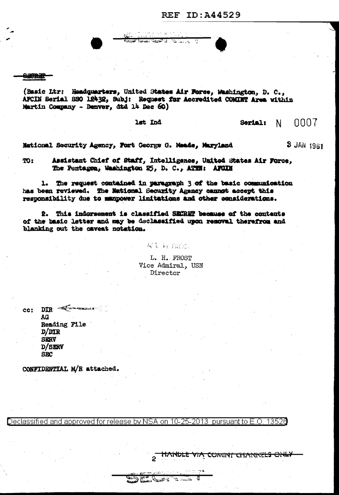**SHORET** 

(Basic Ltr: Headquarters, United States Air Force, Washington, D. C., AFCIN Serial SSO 12432, Subj: Request for Accredited COMINT Area within Martin Company - Denver, dtd 14 Dec 60)

供当合的 民主制 أنا فتحشقه عصعه

Carles Allen

lst Ind

0007 Serial:  $N$ 

**3 JAN 1961** 

National Security Agency, Fort George G. Meade, Maryland

Assistant Chief of Staff, Intelligence, United States Air Force, **TO:** The Pentagen, Washington 25, D. C., ATTH: AFGIN

1. The request contained in paragraph 3 of the basic communication has been reviewed. The National Security Agency cannot accept this responsibility due to manpower limitations and other considerations.

2. This indorsement is classified SECRET because of the contents of the basic letter and may be declassified upon removal therefrom and blanking out the caveat notation.

> L. H. FROST Vice Admiral, USN Director

**对美新 致感。** 

 $cc:$  DIR  $\equiv$ AG Reading File  $D/DIR$ **SIGRY** D/SERV **SBC** 

CONFIDENTIAL M/R attached.

Declassified and approved for release by NSA on 10-25-2013 pursuant to E.O. 13526

**DE** 

**ANDRE DELLER** 

HANDLE VIA COMINT CHANNELS ONLY

a